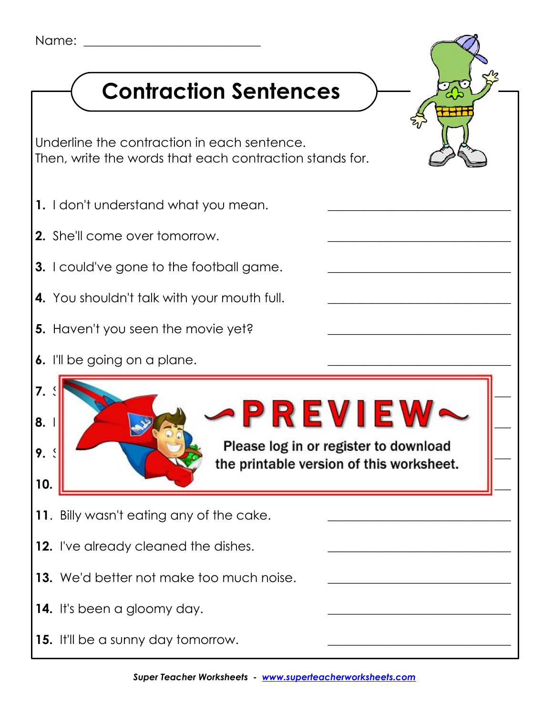## **Contraction Sentences**

Underline the contraction in each sentence. Then, write the words that each contraction stands for.

- **1.** I don't understand what you mean.
- **2.** She'll come over tomorrow.
- **3.** I could've gone to the football game.
- **4.** You shouldn't talk with your mouth full.
- **5.** Haven't you seen the movie yet?
- **6.** I'll be going on a plane.



- **12.** I've already cleaned the dishes.
- **13.** We'd better not make too much noise.
- **14.** It's been a gloomy day.
- **15.** It'll be a sunny day tomorrow.